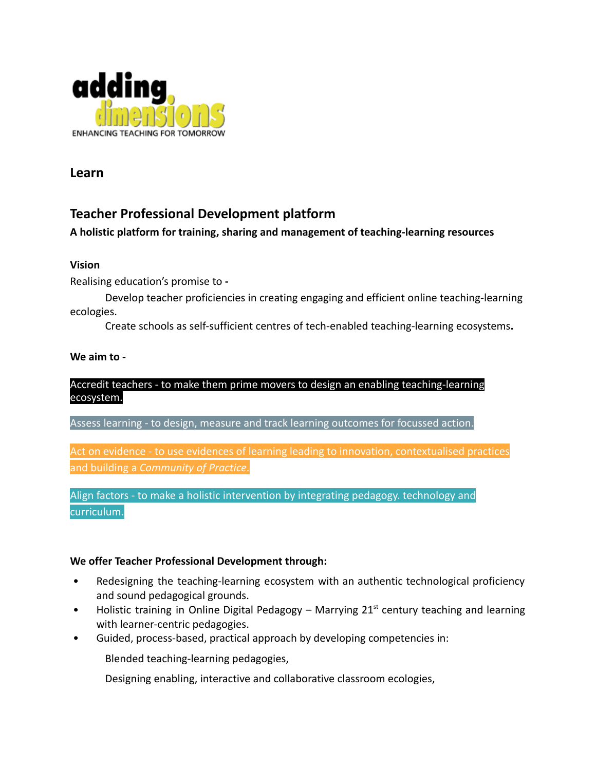

**Learn**

# **Teacher Professional Development platform**

# **A holistic platform for training, sharing and management of teaching-learning resources**

# **Vision** Accredit teachers - to make them prime movement of the make them prime movement and accredit teachers to

Realising education's promise to **-**

Develop teacher proficiencies in creating engaging and efficient online teaching-learning ecologies.

Create schools as self-sufficient centres of tech-enabled teaching-learning ecosystems**.**

### **We aim to -**

#### Accredit teachers - to make them prime movers to design an enabling teaching-learning ecosystem.

Assess learning - to design, measure and track learning outcomes for focussed action.

Act on evidence - to use evidences of learning leading to innovation, contextualised practices and building a *Community of Practice*.

Align factors - to make a holistic intervention by integrating pedagogy. technology and curriculum.

### **We offer Teacher Professional Development through:**

- Redesigning the teaching-learning ecosystem with an authentic technological proficiency and sound pedagogical grounds.
- Holistic training in Online Digital Pedagogy Marrying  $21<sup>st</sup>$  century teaching and learning with learner-centric pedagogies.
- Guided, process-based, practical approach by developing competencies in:

Blended teaching-learning pedagogies,

Designing enabling, interactive and collaborative classroom ecologies,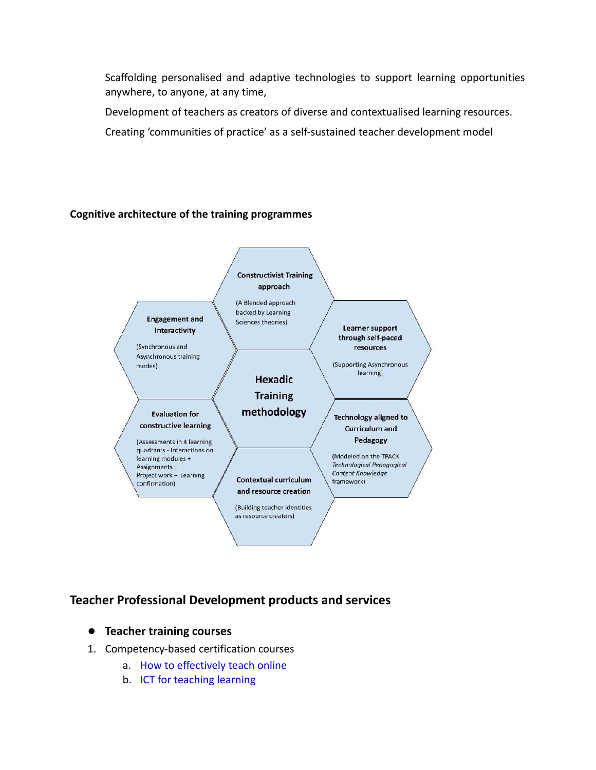Scaffolding personalised and adaptive technologies to support learning opportunities anywhere, to anyone, at any time,

Development of teachers as creators of diverse and contextualised learning resources.

Creating 'communities of practice' as a self-sustained teacher development model

#### **Cognitive architecture of the training programmes**



# **Teacher Professional Development products and services**

- **● Teacher training courses**
- 1. Competency-based certification courses
	- a. [How to effectively teach online](https://drive.google.com/file/d/1ukjx60rWrusaqBaWd3KTYMbeZRqCbMNG/view?usp=sharing)
	- b. [ICT for teaching learning](https://drive.google.com/file/d/191D7WqkxnRskF09HAX0BmRU7QUkHCE5d/view?usp=sharing)